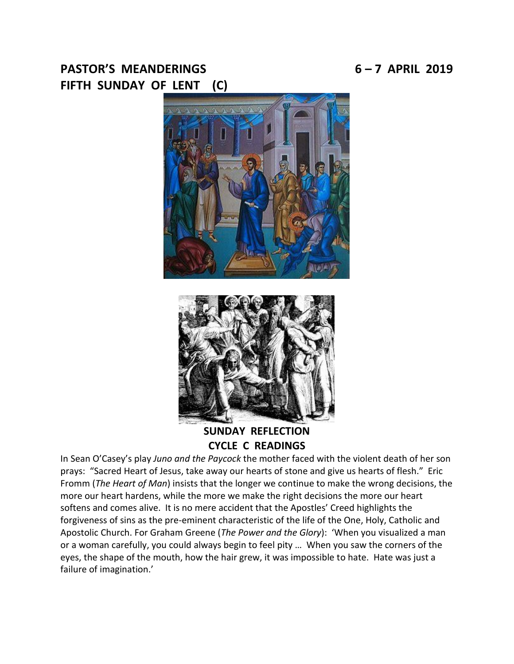# PASTOR'S MEANDERINGS 6-7 APRIL 2019 **FIFTH SUNDAY OF LENT (C)**





**SUNDAY REFLECTION CYCLE C READINGS**

In Sean O'Casey's play *Juno and the Paycock* the mother faced with the violent death of her son prays: "Sacred Heart of Jesus, take away our hearts of stone and give us hearts of flesh." Eric Fromm (*The Heart of Man*) insists that the longer we continue to make the wrong decisions, the more our heart hardens, while the more we make the right decisions the more our heart softens and comes alive. It is no mere accident that the Apostles' Creed highlights the forgiveness of sins as the pre-eminent characteristic of the life of the One, Holy, Catholic and Apostolic Church. For Graham Greene (*The Power and the Glory*): 'When you visualized a man or a woman carefully, you could always begin to feel pity … When you saw the corners of the eyes, the shape of the mouth, how the hair grew, it was impossible to hate. Hate was just a failure of imagination.'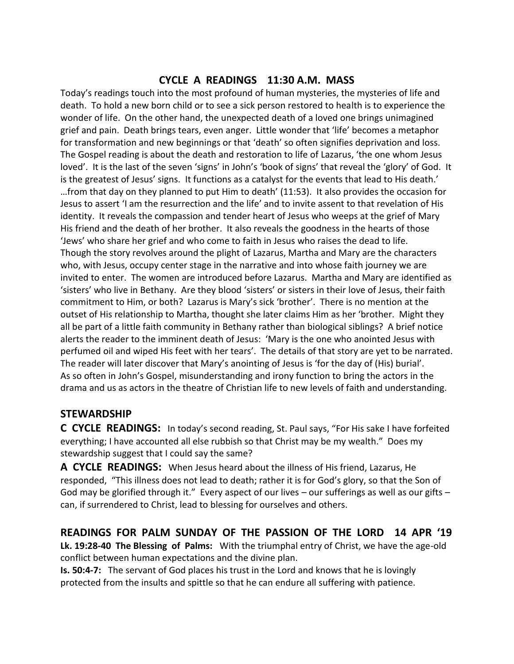## **CYCLE A READINGS 11:30 A.M. MASS**

Today's readings touch into the most profound of human mysteries, the mysteries of life and death. To hold a new born child or to see a sick person restored to health is to experience the wonder of life. On the other hand, the unexpected death of a loved one brings unimagined grief and pain. Death brings tears, even anger. Little wonder that 'life' becomes a metaphor for transformation and new beginnings or that 'death' so often signifies deprivation and loss. The Gospel reading is about the death and restoration to life of Lazarus, 'the one whom Jesus loved'. It is the last of the seven 'signs' in John's 'book of signs' that reveal the 'glory' of God. It is the greatest of Jesus' signs. It functions as a catalyst for the events that lead to His death.' …from that day on they planned to put Him to death' (11:53). It also provides the occasion for Jesus to assert 'I am the resurrection and the life' and to invite assent to that revelation of His identity. It reveals the compassion and tender heart of Jesus who weeps at the grief of Mary His friend and the death of her brother. It also reveals the goodness in the hearts of those 'Jews' who share her grief and who come to faith in Jesus who raises the dead to life. Though the story revolves around the plight of Lazarus, Martha and Mary are the characters who, with Jesus, occupy center stage in the narrative and into whose faith journey we are invited to enter. The women are introduced before Lazarus. Martha and Mary are identified as 'sisters' who live in Bethany. Are they blood 'sisters' or sisters in their love of Jesus, their faith commitment to Him, or both? Lazarus is Mary's sick 'brother'. There is no mention at the outset of His relationship to Martha, thought she later claims Him as her 'brother. Might they all be part of a little faith community in Bethany rather than biological siblings? A brief notice alerts the reader to the imminent death of Jesus: 'Mary is the one who anointed Jesus with perfumed oil and wiped His feet with her tears'. The details of that story are yet to be narrated. The reader will later discover that Mary's anointing of Jesus is 'for the day of (His) burial'. As so often in John's Gospel, misunderstanding and irony function to bring the actors in the drama and us as actors in the theatre of Christian life to new levels of faith and understanding.

## **STEWARDSHIP**

**C CYCLE READINGS:** In today's second reading, St. Paul says, "For His sake I have forfeited everything; I have accounted all else rubbish so that Christ may be my wealth." Does my stewardship suggest that I could say the same?

**A CYCLE READINGS:** When Jesus heard about the illness of His friend, Lazarus, He responded, "This illness does not lead to death; rather it is for God's glory, so that the Son of God may be glorified through it." Every aspect of our lives  $-$  our sufferings as well as our gifts  $$ can, if surrendered to Christ, lead to blessing for ourselves and others.

## **READINGS FOR PALM SUNDAY OF THE PASSION OF THE LORD 14 APR '19**

**Lk. 19:28-40 The Blessing of Palms:** With the triumphal entry of Christ, we have the age-old conflict between human expectations and the divine plan.

**Is. 50:4-7:** The servant of God places his trust in the Lord and knows that he is lovingly protected from the insults and spittle so that he can endure all suffering with patience.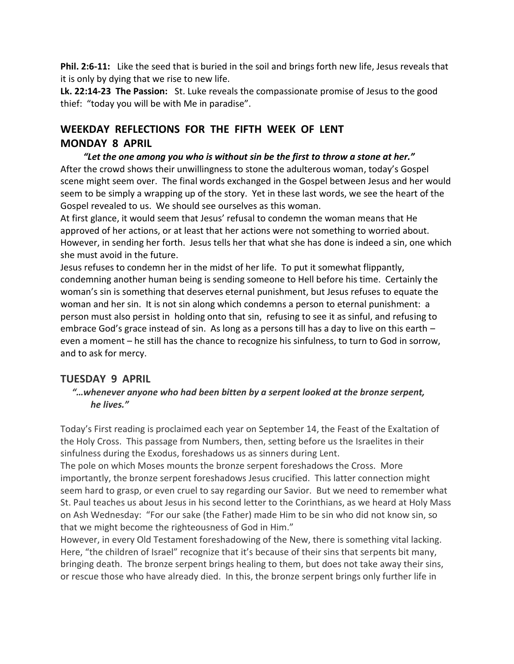**Phil. 2:6-11:** Like the seed that is buried in the soil and brings forth new life, Jesus reveals that it is only by dying that we rise to new life.

**Lk. 22:14-23 The Passion:** St. Luke reveals the compassionate promise of Jesus to the good thief: "today you will be with Me in paradise".

## **WEEKDAY REFLECTIONS FOR THE FIFTH WEEK OF LENT MONDAY 8 APRIL**

 *"Let the one among you who is without sin be the first to throw a stone at her."* After the crowd shows their unwillingness to stone the adulterous woman, today's Gospel scene might seem over. The final words exchanged in the Gospel between Jesus and her would seem to be simply a wrapping up of the story. Yet in these last words, we see the heart of the Gospel revealed to us. We should see ourselves as this woman.

At first glance, it would seem that Jesus' refusal to condemn the woman means that He approved of her actions, or at least that her actions were not something to worried about. However, in sending her forth. Jesus tells her that what she has done is indeed a sin, one which she must avoid in the future.

Jesus refuses to condemn her in the midst of her life. To put it somewhat flippantly, condemning another human being is sending someone to Hell before his time. Certainly the woman's sin is something that deserves eternal punishment, but Jesus refuses to equate the woman and her sin. It is not sin along which condemns a person to eternal punishment: a person must also persist in holding onto that sin, refusing to see it as sinful, and refusing to embrace God's grace instead of sin. As long as a persons till has a day to live on this earth – even a moment – he still has the chance to recognize his sinfulness, to turn to God in sorrow, and to ask for mercy.

## **TUESDAY 9 APRIL**

#### *"…whenever anyone who had been bitten by a serpent looked at the bronze serpent, he lives."*

Today's First reading is proclaimed each year on September 14, the Feast of the Exaltation of the Holy Cross. This passage from Numbers, then, setting before us the Israelites in their sinfulness during the Exodus, foreshadows us as sinners during Lent.

The pole on which Moses mounts the bronze serpent foreshadows the Cross. More importantly, the bronze serpent foreshadows Jesus crucified. This latter connection might seem hard to grasp, or even cruel to say regarding our Savior. But we need to remember what St. Paul teaches us about Jesus in his second letter to the Corinthians, as we heard at Holy Mass on Ash Wednesday: "For our sake (the Father) made Him to be sin who did not know sin, so that we might become the righteousness of God in Him."

However, in every Old Testament foreshadowing of the New, there is something vital lacking. Here, "the children of Israel" recognize that it's because of their sins that serpents bit many, bringing death. The bronze serpent brings healing to them, but does not take away their sins, or rescue those who have already died. In this, the bronze serpent brings only further life in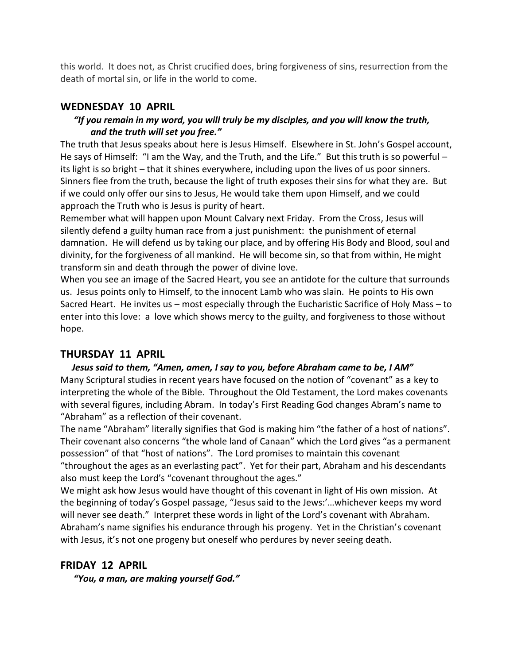this world. It does not, as Christ crucified does, bring forgiveness of sins, resurrection from the death of mortal sin, or life in the world to come.

#### **WEDNESDAY 10 APRIL**

#### *"If you remain in my word, you will truly be my disciples, and you will know the truth, and the truth will set you free."*

The truth that Jesus speaks about here is Jesus Himself. Elsewhere in St. John's Gospel account, He says of Himself: "I am the Way, and the Truth, and the Life." But this truth is so powerful – its light is so bright – that it shines everywhere, including upon the lives of us poor sinners. Sinners flee from the truth, because the light of truth exposes their sins for what they are. But if we could only offer our sins to Jesus, He would take them upon Himself, and we could approach the Truth who is Jesus is purity of heart.

Remember what will happen upon Mount Calvary next Friday. From the Cross, Jesus will silently defend a guilty human race from a just punishment: the punishment of eternal damnation. He will defend us by taking our place, and by offering His Body and Blood, soul and divinity, for the forgiveness of all mankind. He will become sin, so that from within, He might transform sin and death through the power of divine love.

When you see an image of the Sacred Heart, you see an antidote for the culture that surrounds us. Jesus points only to Himself, to the innocent Lamb who was slain. He points to His own Sacred Heart. He invites us – most especially through the Eucharistic Sacrifice of Holy Mass – to enter into this love: a love which shows mercy to the guilty, and forgiveness to those without hope.

## **THURSDAY 11 APRIL**

#### *Jesus said to them, "Amen, amen, I say to you, before Abraham came to be, I AM"* Many Scriptural studies in recent years have focused on the notion of "covenant" as a key to interpreting the whole of the Bible. Throughout the Old Testament, the Lord makes covenants with several figures, including Abram. In today's First Reading God changes Abram's name to "Abraham" as a reflection of their covenant.

The name "Abraham" literally signifies that God is making him "the father of a host of nations". Their covenant also concerns "the whole land of Canaan" which the Lord gives "as a permanent possession" of that "host of nations". The Lord promises to maintain this covenant "throughout the ages as an everlasting pact". Yet for their part, Abraham and his descendants also must keep the Lord's "covenant throughout the ages."

We might ask how Jesus would have thought of this covenant in light of His own mission. At the beginning of today's Gospel passage, "Jesus said to the Jews:'…whichever keeps my word will never see death." Interpret these words in light of the Lord's covenant with Abraham. Abraham's name signifies his endurance through his progeny. Yet in the Christian's covenant with Jesus, it's not one progeny but oneself who perdures by never seeing death.

#### **FRIDAY 12 APRIL**

*"You, a man, are making yourself God."*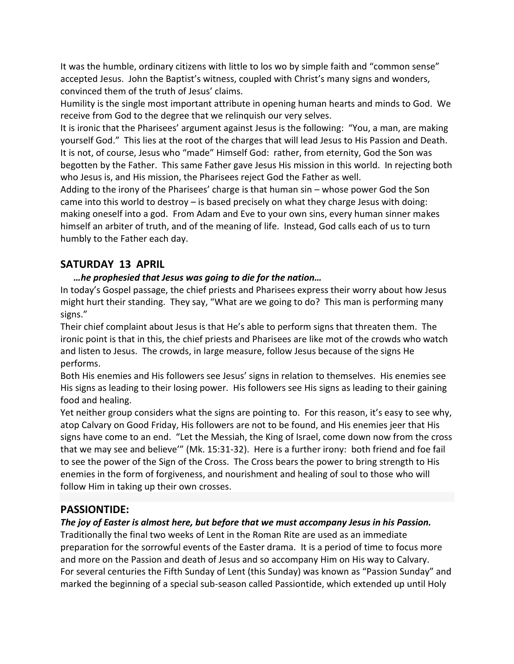It was the humble, ordinary citizens with little to los wo by simple faith and "common sense" accepted Jesus. John the Baptist's witness, coupled with Christ's many signs and wonders, convinced them of the truth of Jesus' claims.

Humility is the single most important attribute in opening human hearts and minds to God. We receive from God to the degree that we relinquish our very selves.

It is ironic that the Pharisees' argument against Jesus is the following: "You, a man, are making yourself God." This lies at the root of the charges that will lead Jesus to His Passion and Death. It is not, of course, Jesus who "made" Himself God: rather, from eternity, God the Son was begotten by the Father. This same Father gave Jesus His mission in this world. In rejecting both who Jesus is, and His mission, the Pharisees reject God the Father as well.

Adding to the irony of the Pharisees' charge is that human sin – whose power God the Son came into this world to destroy – is based precisely on what they charge Jesus with doing: making oneself into a god. From Adam and Eve to your own sins, every human sinner makes himself an arbiter of truth, and of the meaning of life. Instead, God calls each of us to turn humbly to the Father each day.

## **SATURDAY 13 APRIL**

## *…he prophesied that Jesus was going to die for the nation…*

In today's Gospel passage, the chief priests and Pharisees express their worry about how Jesus might hurt their standing. They say, "What are we going to do? This man is performing many signs."

Their chief complaint about Jesus is that He's able to perform signs that threaten them. The ironic point is that in this, the chief priests and Pharisees are like mot of the crowds who watch and listen to Jesus. The crowds, in large measure, follow Jesus because of the signs He performs.

Both His enemies and His followers see Jesus' signs in relation to themselves. His enemies see His signs as leading to their losing power. His followers see His signs as leading to their gaining food and healing.

Yet neither group considers what the signs are pointing to. For this reason, it's easy to see why, atop Calvary on Good Friday, His followers are not to be found, and His enemies jeer that His signs have come to an end. "Let the Messiah, the King of Israel, come down now from the cross that we may see and believe'" (Mk. 15:31-32). Here is a further irony: both friend and foe fail to see the power of the Sign of the Cross. The Cross bears the power to bring strength to His enemies in the form of forgiveness, and nourishment and healing of soul to those who will follow Him in taking up their own crosses.

## **PASSIONTIDE:**

## *The joy of Easter is almost here, but before that we must accompany Jesus in his Passion.*

Traditionally the final two weeks of Lent in the Roman Rite are used as an immediate preparation for the sorrowful events of the Easter drama. It is a period of time to focus more and more on the Passion and death of Jesus and so accompany Him on His way to Calvary. For several centuries the Fifth Sunday of Lent (this Sunday) was known as "Passion Sunday" and marked the beginning of a special sub-season called Passiontide, which extended up until Holy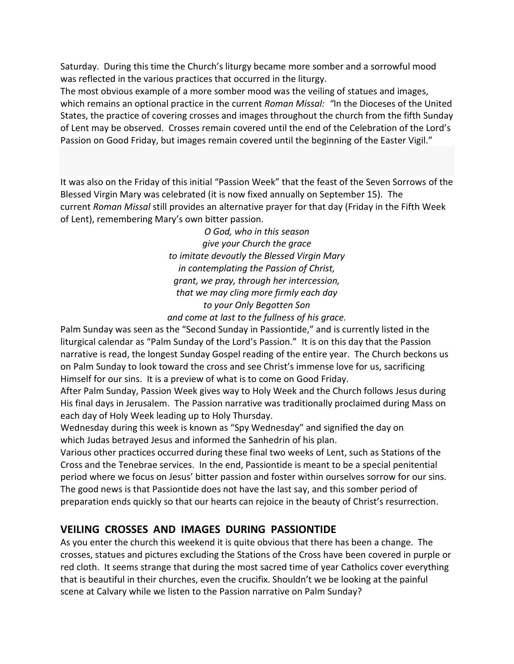Saturday. During this time the Church's liturgy became more somber and a sorrowful mood was reflected in the various practices that occurred in the liturgy.

The most obvious example of a more somber mood was the veiling of statues and images, which remains an optional practice in the current *Roman Missal: "*In the Dioceses of the United States, the practice of covering crosses and images throughout the church from the fifth Sunday of Lent may be observed. Crosses remain covered until the end of the Celebration of the Lord's Passion on Good Friday, but images remain covered until the beginning of the Easter Vigil."

It was also on the Friday of this initial "Passion Week" that the feast of the Seven Sorrows of the Blessed Virgin Mary was celebrated (it is now fixed annually on September 15). The current *Roman Missal* still provides an alternative prayer for that day (Friday in the Fifth Week of Lent), remembering Mary's own bitter passion.

> *O God, who in this season give your Church the grace to imitate devoutly the Blessed Virgin Mary in contemplating the Passion of Christ, grant, we pray, through her intercession, that we may cling more firmly each day to your Only Begotten Son*

*and come at last to the fullness of his grace.*

Palm Sunday was seen as the "Second Sunday in Passiontide," and is currently listed in the liturgical calendar as "Palm Sunday of the Lord's Passion." It is on this day that the Passion narrative is read, the longest Sunday Gospel reading of the entire year. The Church beckons us on Palm Sunday to look toward the cross and see Christ's immense love for us, sacrificing Himself for our sins. It is a preview of what is to come on Good Friday.

After Palm Sunday, Passion Week gives way to Holy Week and the Church follows Jesus during His final days in Jerusalem. The Passion narrative was traditionally proclaimed during Mass on each day of Holy Week leading up to Holy Thursday.

Wednesday during this week is known as "Spy Wednesday" and signified the day on which Judas betrayed Jesus and informed the Sanhedrin of his plan.

Various other practices occurred during these final two weeks of Lent, such as Stations of the Cross and the Tenebrae services. In the end, Passiontide is meant to be a special penitential period where we focus on Jesus' bitter passion and foster within ourselves sorrow for our sins. The good news is that Passiontide does not have the last say, and this somber period of preparation ends quickly so that our hearts can rejoice in the beauty of Christ's resurrection.

## **VEILING CROSSES AND IMAGES DURING PASSIONTIDE**

As you enter the church this weekend it is quite obvious that there has been a change. The crosses, statues and pictures excluding the Stations of the Cross have been covered in purple or red cloth. It seems strange that during the most sacred time of year Catholics cover everything that is beautiful in their churches, even the crucifix. Shouldn't we be looking at the painful scene at Calvary while we listen to the Passion narrative on Palm Sunday?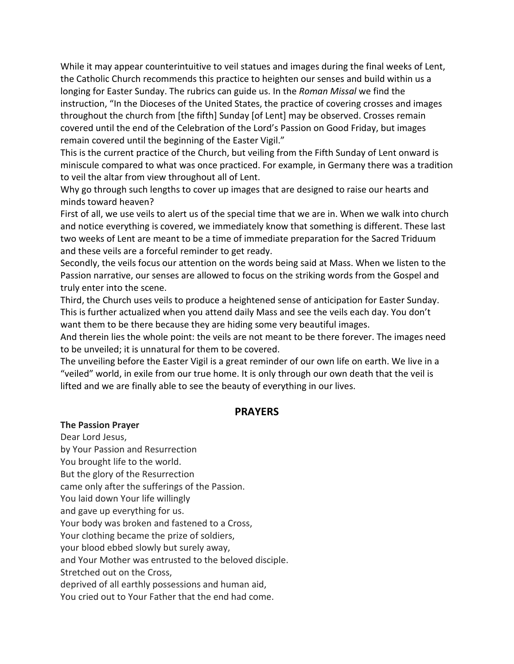While it may appear counterintuitive to veil statues and images during the final weeks of Lent, the Catholic Church recommends this practice to heighten our senses and build within us a longing for Easter Sunday. The rubrics can guide us. In the *Roman Missal* we find the instruction, "In the Dioceses of the United States, the practice of covering crosses and images throughout the church from [the fifth] Sunday [of Lent] may be observed. Crosses remain covered until the end of the Celebration of the Lord's Passion on Good Friday, but images remain covered until the beginning of the Easter Vigil."

This is the current practice of the Church, but veiling from the Fifth Sunday of Lent onward is miniscule compared to what was once practiced. For example, in Germany there was a tradition to veil the altar from view throughout all of Lent.

Why go through such lengths to cover up images that are designed to raise our hearts and minds toward heaven?

First of all, we use veils to alert us of the special time that we are in. When we walk into church and notice everything is covered, we immediately know that something is different. These last two weeks of Lent are meant to be a time of immediate preparation for the Sacred Triduum and these veils are a forceful reminder to get ready.

Secondly, the veils focus our attention on the words being said at Mass. When we listen to the Passion narrative, our senses are allowed to focus on the striking words from the Gospel and truly enter into the scene.

Third, the Church uses veils to produce a heightened sense of anticipation for Easter Sunday. This is further actualized when you attend daily Mass and see the veils each day. You don't want them to be there because they are hiding some very beautiful images.

And therein lies the whole point: the veils are not meant to be there forever. The images need to be unveiled; it is unnatural for them to be covered.

The unveiling before the Easter Vigil is a great reminder of our own life on earth. We live in a "veiled" world, in exile from our true home. It is only through our own death that the veil is lifted and we are finally able to see the beauty of everything in our lives.

#### **PRAYERS**

#### **The Passion Prayer**

Dear Lord Jesus, by Your Passion and Resurrection You brought life to the world. But the glory of the Resurrection came only after the sufferings of the Passion. You laid down Your life willingly and gave up everything for us. Your body was broken and fastened to a Cross, Your clothing became the prize of soldiers, your blood ebbed slowly but surely away, and Your Mother was entrusted to the beloved disciple. Stretched out on the Cross, deprived of all earthly possessions and human aid, You cried out to Your Father that the end had come.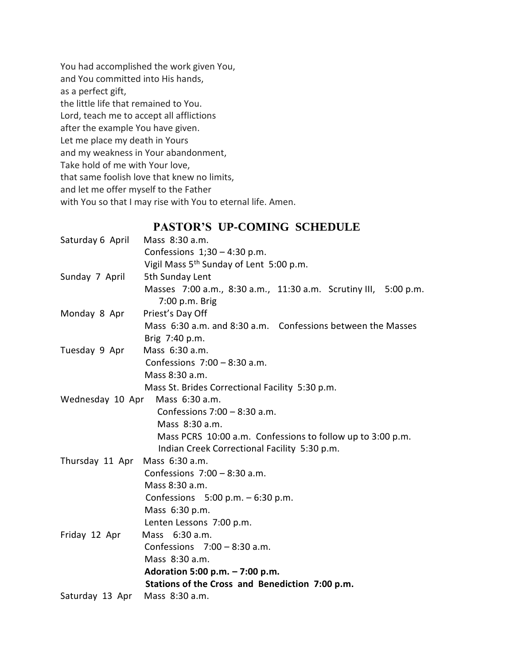You had accomplished the work given You, and You committed into His hands, as a perfect gift, the little life that remained to You. Lord, teach me to accept all afflictions after the example You have given. Let me place my death in Yours and my weakness in Your abandonment, Take hold of me with Your love, that same foolish love that knew no limits, and let me offer myself to the Father with You so that I may rise with You to eternal life. Amen.

## **PASTOR'S UP-COMING SCHEDULE**

| Saturday 6 April               | Mass 8:30 a.m.                                                  |
|--------------------------------|-----------------------------------------------------------------|
|                                | Confessions $1,30 - 4:30$ p.m.                                  |
|                                | Vigil Mass 5 <sup>th</sup> Sunday of Lent 5:00 p.m.             |
| Sunday 7 April                 | 5th Sunday Lent                                                 |
|                                | Masses 7:00 a.m., 8:30 a.m., 11:30 a.m. Scrutiny III, 5:00 p.m. |
|                                | 7:00 p.m. Brig                                                  |
| Monday 8 Apr                   | Priest's Day Off                                                |
|                                | Mass 6:30 a.m. and 8:30 a.m. Confessions between the Masses     |
|                                | Brig 7:40 p.m.                                                  |
| Tuesday 9 Apr                  | Mass 6:30 a.m.                                                  |
|                                | Confessions $7:00 - 8:30$ a.m.                                  |
|                                | Mass 8:30 a.m.                                                  |
|                                | Mass St. Brides Correctional Facility 5:30 p.m.                 |
| Wednesday 10 Apr               | Mass 6:30 a.m.                                                  |
|                                | Confessions $7:00 - 8:30$ a.m.                                  |
|                                | Mass 8:30 a.m.                                                  |
|                                | Mass PCRS 10:00 a.m. Confessions to follow up to 3:00 p.m.      |
|                                | Indian Creek Correctional Facility 5:30 p.m.                    |
| Thursday 11 Apr Mass 6:30 a.m. |                                                                 |
|                                | Confessions $7:00 - 8:30$ a.m.                                  |
|                                | Mass 8:30 a.m.                                                  |
|                                | Confessions $5:00 p.m. - 6:30 p.m.$                             |
|                                | Mass 6:30 p.m.                                                  |
|                                | Lenten Lessons 7:00 p.m.                                        |
| Friday 12 Apr                  | Mass 6:30 a.m.                                                  |
|                                | Confessions $7:00 - 8:30$ a.m.                                  |
|                                | Mass 8:30 a.m.                                                  |
|                                | Adoration 5:00 p.m. - 7:00 p.m.                                 |
|                                | Stations of the Cross and Benediction 7:00 p.m.                 |
| Saturday 13 Apr                | Mass 8:30 a.m.                                                  |